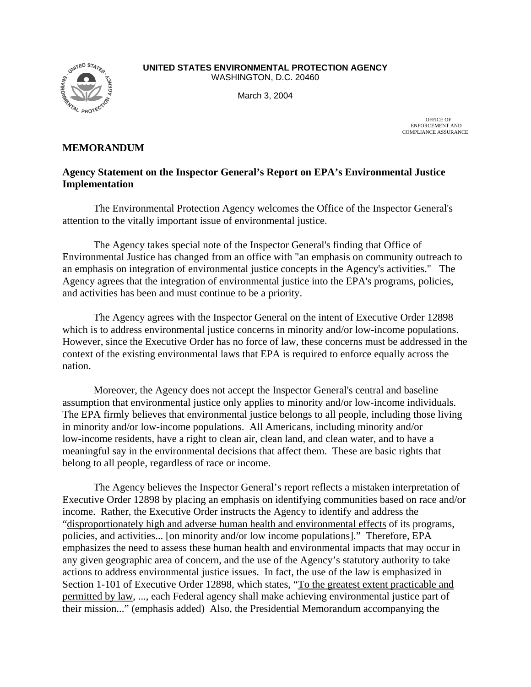

**UNITED STATES ENVIRONMENTAL PROTECTION AGENCY**  WASHINGTON, D.C. 20460

March 3, 2004

OFFICE OF ENFORCEMENT AND COMPLIANCE ASSURANCE

## **MEMORANDUM**

## **Agency Statement on the Inspector General's Report on EPA's Environmental Justice Implementation**

The Environmental Protection Agency welcomes the Office of the Inspector General's attention to the vitally important issue of environmental justice.

The Agency takes special note of the Inspector General's finding that Office of Environmental Justice has changed from an office with "an emphasis on community outreach to an emphasis on integration of environmental justice concepts in the Agency's activities." The Agency agrees that the integration of environmental justice into the EPA's programs, policies, and activities has been and must continue to be a priority.

The Agency agrees with the Inspector General on the intent of Executive Order 12898 which is to address environmental justice concerns in minority and/or low-income populations. However, since the Executive Order has no force of law, these concerns must be addressed in the context of the existing environmental laws that EPA is required to enforce equally across the nation.

Moreover, the Agency does not accept the Inspector General's central and baseline assumption that environmental justice only applies to minority and/or low-income individuals. The EPA firmly believes that environmental justice belongs to all people, including those living in minority and/or low-income populations. All Americans, including minority and/or low-income residents, have a right to clean air, clean land, and clean water, and to have a meaningful say in the environmental decisions that affect them. These are basic rights that belong to all people, regardless of race or income.

The Agency believes the Inspector General's report reflects a mistaken interpretation of Executive Order 12898 by placing an emphasis on identifying communities based on race and/or income. Rather, the Executive Order instructs the Agency to identify and address the "disproportionately high and adverse human health and environmental effects of its programs, policies, and activities... [on minority and/or low income populations]." Therefore, EPA emphasizes the need to assess these human health and environmental impacts that may occur in any given geographic area of concern, and the use of the Agency's statutory authority to take actions to address environmental justice issues. In fact, the use of the law is emphasized in Section 1-101 of Executive Order 12898, which states, "To the greatest extent practicable and permitted by law, ..., each Federal agency shall make achieving environmental justice part of their mission..." (emphasis added) Also, the Presidential Memorandum accompanying the